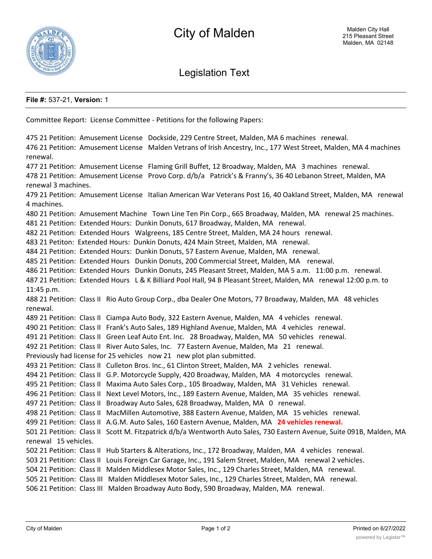

Legislation Text

## **File #:** 537-21, **Version:** 1

Committee Report: License Committee - Petitions for the following Papers: 475 21 Petition: Amusement License Dockside, 229 Centre Street, Malden, MA 6 machines renewal. 476 21 Petition: Amusement License Malden Vetrans of Irish Ancestry, Inc., 177 West Street, Malden, MA 4 machines renewal. 477 21 Petition: Amusement License Flaming Grill Buffet, 12 Broadway, Malden, MA 3 machines renewal. 478 21 Petition: Amusement License Provo Corp. d/b/a Patrick's & Franny's, 36 40 Lebanon Street, Malden, MA renewal 3 machines. 479 21 Petition: Amusement License Italian American War Veterans Post 16, 40 Oakland Street, Malden, MA renewal 4 machines. 480 21 Petition: Amusement Machine Town Line Ten Pin Corp., 665 Broadway, Malden, MA renewal 25 machines. 481 21 Petition: Extended Hours: Dunkin Donuts, 617 Broadway, Malden, MA renewal. 482 21 Petition: Extended Hours Walgreens, 185 Centre Street, Malden, MA 24 hours renewal. 483 21 Petiton: Extended Hours: Dunkin Donuts, 424 Main Street, Malden, MA renewal. 484 21 Petition: Extended Hours: Dunkin Donuts, 57 Eastern Avenue, Malden, MA renewal. 485 21 Petition: Extended Hours Dunkin Donuts, 200 Commercial Street, Malden, MA renewal. 486 21 Petition: Extended Hours Dunkin Donuts, 245 Pleasant Street, Malden, MA 5 a.m. 11:00 p.m. renewal. 487 21 Petition: Extended Hours L & K Billiard Pool Hall, 94 B Pleasant Street, Malden, MA renewal 12:00 p.m. to 11:45 p.m. 488 21 Petition: Class II Rio Auto Group Corp., dba Dealer One Motors, 77 Broadway, Malden, MA 48 vehicles renewal. 489 21 Petition: Class II Ciampa Auto Body, 322 Eastern Avenue, Malden, MA 4 vehicles renewal. 490 21 Petition: Class II Frank's Auto Sales, 189 Highland Avenue, Malden, MA 4 vehicles renewal. 491 21 Petition: Class II Green Leaf Auto Ent. Inc. 28 Broadway, Malden, MA 50 vehicles renewal. 492 21 Petition: Class II River Auto Sales, Inc. 77 Eastern Avenue, Malden, Ma 21 renewal. Previously had license for 25 vehicles now 21 new plot plan submitted. 493 21 Petition: Class II Culleton Bros. Inc., 61 Clinton Street, Malden, MA 2 vehicles renewal. 494 21 Petition: Class II G.P. Motorcycle Supply, 420 Broadway, Malden, MA 4 motorcycles renewal. 495 21 Petition: Class II Maxima Auto Sales Corp., 105 Broadway, Malden, MA 31 Vehicles renewal. 496 21 Petition: Class II Next Level Motors, Inc., 189 Eastern Avenue, Malden, MA 35 vehicles renewal. 497 21 Petition: Class II Broadway Auto Sales, 628 Broadway, Malden, MA 0 renewal. 498 21 Petition: Class II MacMillen Automotive, 388 Eastern Avenue, Malden, MA 15 vehicles renewal. 499 21 Petition: Class II A.G.M. Auto Sales, 160 Eastern Avenue, Malden, MA **24 vehicles renewal.** 501 21 Petition: Class II Scott M. Fitzpatrick d/b/a Wentworth Auto Sales, 730 Eastern Avenue, Suite 091B, Malden, MA renewal 15 vehicles. 502 21 Petition: Class II Hub Starters & Alterations, Inc., 172 Broadway, Malden, MA 4 vehicles renewal. 503 21 Petition: Class II Louis Foreign Car Garage, Inc., 191 Salem Street, Malden, MA renewal 2 vehicles. 504 21 Petition: Class II Malden Middlesex Motor Sales, Inc., 129 Charles Street, Malden, MA renewal. 505 21 Petition: Class III Malden Middlesex Motor Sales, Inc., 129 Charles Street, Malden, MA renewal. 506 21 Petition: Class III Malden Broadway Auto Body, 590 Broadway, Malden, MA renewal.